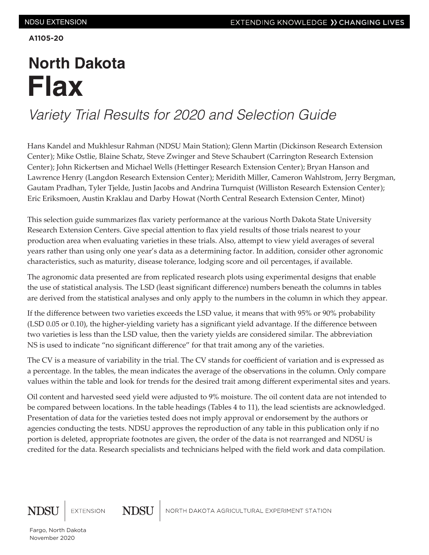**A1105-20**

## **North Dakota Flax**

## *Variety Trial Results for 2020 and Selection Guide*

Hans Kandel and Mukhlesur Rahman (NDSU Main Station); Glenn Martin (Dickinson Research Extension Center); Mike Ostlie, Blaine Schatz, Steve Zwinger and Steve Schaubert (Carrington Research Extension Center); John Rickertsen and Michael Wells (Hettinger Research Extension Center); Bryan Hanson and Lawrence Henry (Langdon Research Extension Center); Meridith Miller, Cameron Wahlstrom, Jerry Bergman, Gautam Pradhan, Tyler Tjelde, Justin Jacobs and Andrina Turnquist (Williston Research Extension Center); Eric Eriksmoen, Austin Kraklau and Darby Howat (North Central Research Extension Center, Minot)

This selection guide summarizes flax variety performance at the various North Dakota State University Research Extension Centers. Give special attention to flax yield results of those trials nearest to your production area when evaluating varieties in these trials. Also, attempt to view yield averages of several years rather than using only one year's data as a determining factor. In addition, consider other agronomic characteristics, such as maturity, disease tolerance, lodging score and oil percentages, if available.

The agronomic data presented are from replicated research plots using experimental designs that enable the use of statistical analysis. The LSD (least significant difference) numbers beneath the columns in tables are derived from the statistical analyses and only apply to the numbers in the column in which they appear.

If the difference between two varieties exceeds the LSD value, it means that with 95% or 90% probability (LSD 0.05 or 0.10), the higher-yielding variety has a significant yield advantage. If the difference between two varieties is less than the LSD value, then the variety yields are considered similar. The abbreviation NS is used to indicate "no significant difference" for that trait among any of the varieties.

The CV is a measure of variability in the trial. The CV stands for coefficient of variation and is expressed as a percentage. In the tables, the mean indicates the average of the observations in the column. Only compare values within the table and look for trends for the desired trait among different experimental sites and years.

Oil content and harvested seed yield were adjusted to 9% moisture. The oil content data are not intended to be compared between locations. In the table headings (Tables 4 to 11), the lead scientists are acknowledged. Presentation of data for the varieties tested does not imply approval or endorsement by the authors or agencies conducting the tests. NDSU approves the reproduction of any table in this publication only if no portion is deleted, appropriate footnotes are given, the order of the data is not rearranged and NDSU is credited for the data. Research specialists and technicians helped with the field work and data compilation.



NORTH DAKOTA AGRICULTURAL EXPERIMENT STATION

**NDSU**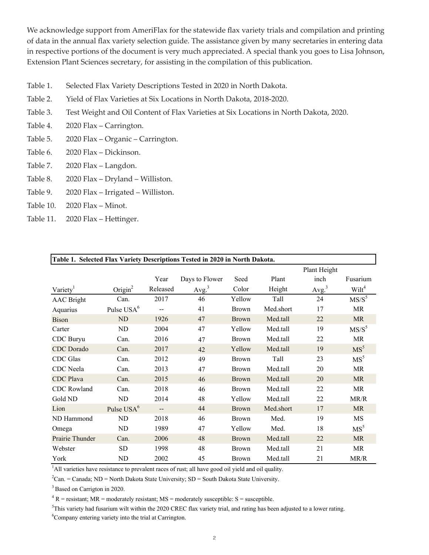We acknowledge support from AmeriFlax for the statewide flax variety trials and compilation and printing of data in the annual flax variety selection guide. The assistance given by many secretaries in entering data in respective portions of the document is very much appreciated. A special thank you goes to Lisa Johnson, Extension Plant Sciences secretary, for assisting in the compilation of this publication.

- Table 1. Selected Flax Variety Descriptions Tested in 2020 in North Dakota.
- Table 2. Yield of Flax Varieties at Six Locations in North Dakota, 2018-2020.
- Table 3. Test Weight and Oil Content of Flax Varieties at Six Locations in North Dakota, 2020.
- Table 4. 2020 Flax Carrington.
- Table 5. 2020 Flax Organic Carrington.
- Table 6. 2020 Flax Dickinson.
- Table 7. 2020 Flax Langdon.
- Table 8. 2020 Flax Dryland Williston.
- Table 9. 2020 Flax Irrigated Williston.
- Table 10. 2020 Flax Minot.
- Table 11. 2020 Flax Hettinger.

| Table 1. Selected Flax Variety Descriptions Tested in 2020 in North Dakota. |                        |                   |                   |              |           |                   |                   |  |  |  |  |
|-----------------------------------------------------------------------------|------------------------|-------------------|-------------------|--------------|-----------|-------------------|-------------------|--|--|--|--|
|                                                                             |                        |                   |                   |              |           | Plant Height      |                   |  |  |  |  |
|                                                                             |                        | Year              | Days to Flower    | Seed         | Plant     | inch              | Fusarium          |  |  |  |  |
| Variety <sup>1</sup>                                                        | Origin $2$             | Released          | Avg. <sup>3</sup> | Color        | Height    | Avg. <sup>3</sup> | Wilt <sup>4</sup> |  |  |  |  |
| <b>AAC</b> Bright                                                           | Can.                   | 2017              | 46                | Yellow       | Tall      | 24                | $MS/S^5$          |  |  |  |  |
| Aquarius                                                                    | Pulse USA <sup>6</sup> |                   | 41                | <b>Brown</b> | Med.short | 17                | <b>MR</b>         |  |  |  |  |
| <b>Bison</b>                                                                | ND                     | 1926              | 47                | <b>Brown</b> | Med.tall  | 22                | <b>MR</b>         |  |  |  |  |
| Carter                                                                      | ND                     | 2004              | 47                | Yellow       | Med.tall  | 19                | $MS/S^5$          |  |  |  |  |
| CDC Buryu                                                                   | Can.                   | 2016              | 47                | <b>Brown</b> | Med.tall  | 22                | MR                |  |  |  |  |
| CDC Dorado                                                                  | Can.                   | 2017              | 42                | Yellow       | Med.tall  | 19                | MS <sup>5</sup>   |  |  |  |  |
| <b>CDC</b> Glas                                                             | Can.                   | 2012              | 49                | <b>Brown</b> | Tall      | 23                | MS <sup>5</sup>   |  |  |  |  |
| CDC Neela                                                                   | Can.                   | 2013              | 47                | <b>Brown</b> | Med.tall  | 20                | <b>MR</b>         |  |  |  |  |
| <b>CDC</b> Plava                                                            | Can.                   | 2015              | 46                | <b>Brown</b> | Med.tall  | 20                | <b>MR</b>         |  |  |  |  |
| CDC Rowland                                                                 | Can.                   | 2018              | 46                | <b>Brown</b> | Med.tall  | 22                | MR                |  |  |  |  |
| Gold ND                                                                     | ND                     | 2014              | 48                | Yellow       | Med.tall  | 22                | MR/R              |  |  |  |  |
| Lion                                                                        | Pulse USA <sup>6</sup> | $\qquad \qquad -$ | 44                | <b>Brown</b> | Med.short | 17                | <b>MR</b>         |  |  |  |  |
| ND Hammond                                                                  | ND                     | 2018              | 46                | <b>Brown</b> | Med.      | 19                | MS                |  |  |  |  |
| Omega                                                                       | ND                     | 1989              | 47                | Yellow       | Med.      | 18                | MS <sup>5</sup>   |  |  |  |  |
| Prairie Thunder                                                             | Can.                   | 2006              | 48                | <b>Brown</b> | Med.tall  | 22                | <b>MR</b>         |  |  |  |  |
| Webster                                                                     | <b>SD</b>              | 1998              | 48                | <b>Brown</b> | Med.tall  | 21                | <b>MR</b>         |  |  |  |  |
| York                                                                        | ND                     | 2002              | 45                | <b>Brown</b> | Med.tall  | 21                | MR/R              |  |  |  |  |

 $<sup>1</sup>$ All varieties have resistance to prevalent races of rust; all have good oil yield and oil quality.</sup>

<sup>2</sup>Can. = Canada; ND = North Dakota State University; SD = South Dakota State University.

<sup>3</sup> Based on Carrigton in 2020.

 $4 R$  = resistant; MR = moderately resistant; MS = moderately susceptible: S = susceptible.

<sup>5</sup>This variety had fusarium wilt within the 2020 CREC flax variety trial, and rating has been adjusted to a lower rating.

<sup>6</sup>Company entering variety into the trial at Carrington.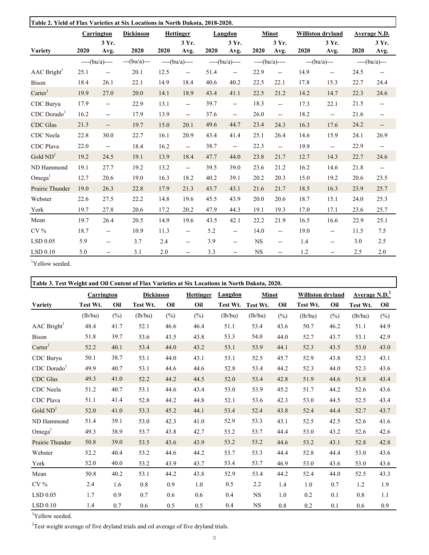| Table 2. Yield of Flax Varieties at Six Locations in North Dakota, 2018-2020. |      |                          |                |      |                                   |      |                          |           |                          |      |                          |      |                          |
|-------------------------------------------------------------------------------|------|--------------------------|----------------|------|-----------------------------------|------|--------------------------|-----------|--------------------------|------|--------------------------|------|--------------------------|
|                                                                               |      | Carrington               | Dickinson      |      | <b>Hettinger</b>                  |      | Langdon                  |           | <b>Minot</b>             |      | <b>Williston dryland</b> |      | Average N.D.             |
|                                                                               |      | 3 Yr.                    |                |      | 3 Yr.                             |      | 3 Yr.                    |           | 3 Yr.                    |      | 3 Yr.                    |      | 3 Yr.                    |
| Variety                                                                       | 2020 | Avg.                     | 2020           | 2020 | Avg.                              | 2020 | Avg.                     | 2020      | Avg.                     | 2020 | Avg.                     | 2020 | Avg.                     |
|                                                                               |      | $---(bu/a)---$           | $---(bu/a)---$ |      | $---(bu/a)---$                    |      | $---(bu/a)---$           |           | $---(bu/a)---$           |      | $--(bu/a)---$            |      | $---(bu/a)---$           |
| AAC Bright <sup>1</sup>                                                       | 25.1 | $\overline{\phantom{a}}$ | 20.1           | 12.5 | $\overline{\phantom{a}}$          | 51.4 | $\overline{\phantom{a}}$ | 22.9      | $\overline{\phantom{a}}$ | 14.9 | $\overline{\phantom{m}}$ | 24.5 | $\overline{\phantom{a}}$ |
| <b>Bison</b>                                                                  | 18.4 | 26.1                     | 22.1           | 14.9 | 18.4                              | 40.6 | 40.2                     | 22.5      | 22.1                     | 17.8 | 15.3                     | 22.7 | 24.4                     |
| $\text{Carter}^1$                                                             | 19.9 | 27.0                     | 20.0           | 14.1 | 18.9                              | 43.4 | 41.1                     | 22.5      | 21.2                     | 14.2 | 14.7                     | 22.3 | 24.6                     |
| CDC Buryu                                                                     | 17.9 | $- -$                    | 22.9           | 13.1 | $\overline{\phantom{a}}$          | 39.7 | $\overline{\phantom{a}}$ | 18.3      | $- -$                    | 17.3 | 22.1                     | 21.5 | $\overline{\phantom{a}}$ |
| $CDC$ Dorado                                                                  | 16.2 | $- -$                    | 17.9           | 13.9 | $\overline{\phantom{a}}$          | 37.6 | $\overline{\phantom{a}}$ | 26.0      | $- -$                    | 18.2 | $\overline{\phantom{m}}$ | 21.6 | $\overline{\phantom{a}}$ |
| <b>CDC</b> Glas                                                               | 21.3 | $\overline{\phantom{a}}$ | 19.7           | 15.0 | 20.1                              | 49.6 | 44.7                     | 23.4      | 24.3                     | 16.3 | 17.6                     | 24.2 | $\overline{\phantom{a}}$ |
| CDC Neela                                                                     | 22.8 | 30.0                     | 22.7           | 16.1 | 20.9                              | 43.4 | 41.4                     | 25.1      | 26.4                     | 14.6 | 15.9                     | 24.1 | 26.9                     |
| CDC Plava                                                                     | 22.0 | $\overline{\phantom{a}}$ | 18.4           | 16.2 | $\overline{\phantom{a}}$          | 38.7 | $\overline{\phantom{a}}$ | 22.3      | $\overline{\phantom{a}}$ | 19.9 | $\overline{\phantom{a}}$ | 22.9 | $\overline{\phantom{a}}$ |
| Gold $ND1$                                                                    | 19.2 | 24.5                     | 19.1           | 13.9 | 18.4                              | 47.7 | 44.0                     | 23.8      | 21.7                     | 12.7 | 14.3                     | 22.7 | 24.6                     |
| ND Hammond                                                                    | 19.1 | 27.7                     | 19.2           | 13.2 | $\overline{\phantom{a}}$          | 39.5 | 39.0                     | 23.6      | 21.2                     | 16.2 | 14.6                     | 21.8 | $\overline{\phantom{a}}$ |
| Omega <sup>1</sup>                                                            | 12.7 | 20.6                     | 19.0           | 16.3 | 18.2                              | 40.2 | 39.1                     | 20.2      | 20.3                     | 15.0 | 19.2                     | 20.6 | 23.5                     |
| Prairie Thunder                                                               | 19.0 | 26.3                     | 22.8           | 17.9 | 21.3                              | 43.7 | 43.1                     | 21.6      | 21.7                     | 18.5 | 16.3                     | 23.9 | 25.7                     |
| Webster                                                                       | 22.6 | 27.5                     | 22.2           | 14.8 | 19.6                              | 45.5 | 43.9                     | 20.0      | 20.6                     | 18.7 | 15.1                     | 24.0 | 25.3                     |
| York                                                                          | 19.7 | 27.8                     | 20.6           | 17.2 | 20.2                              | 47.9 | 44.3                     | 19.1      | 19.3                     | 17.0 | 17.1                     | 23.6 | 25.7                     |
| Mean                                                                          | 19.7 | 26.4                     | 20.5           | 14.9 | 19.6                              | 43.5 | 42.1                     | 22.2      | 21.9                     | 16.5 | 16.6                     | 22.9 | 25.1                     |
| $CV\%$                                                                        | 18.7 | $\overline{\phantom{a}}$ | 10.9           | 11.3 | $\hspace{0.05cm} \dashrightarrow$ | 5.2  | $\overline{\phantom{a}}$ | 14.0      | $- -$                    | 19.0 | $\qquad \qquad -$        | 11.5 | 7.5                      |
| $LSD$ 0.05                                                                    | 5.9  | $\qquad \qquad -$        | 3.7            | 2.4  | $\overline{\phantom{a}}$          | 3.9  | $\qquad \qquad -$        | <b>NS</b> | $\overline{\phantom{a}}$ | 1.4  | $-$                      | 3.0  | 2.5                      |
| $LSD$ 0.10                                                                    | 5.0  | $-$                      | 3.1            | 2.0  | $-$                               | 3.3  | $-$                      | <b>NS</b> | $\overline{\phantom{0}}$ | 1.2  |                          | 2.5  | 2.0                      |

<sup>1</sup>Yellow seeded.

| Table 3. Test Weight and Oil Content of Flax Varieties at Six Locations in North Dakota, 2020. |                   |      |           |        |                  |          |              |      |                          |      |                                  |      |
|------------------------------------------------------------------------------------------------|-------------------|------|-----------|--------|------------------|----------|--------------|------|--------------------------|------|----------------------------------|------|
|                                                                                                | <b>Carrington</b> |      | Dickinson |        | <b>Hettinger</b> | Langdon  | <b>Minot</b> |      | <b>Williston dryland</b> |      | <b>Average N.D.</b> <sup>2</sup> |      |
| Variety                                                                                        | Test Wt.          | Oil  | Test Wt.  | Oil    | Oil              | Test Wt. | Test Wt.     | Oil  | Test Wt.                 | Oil  | Test Wt.                         | Oil  |
|                                                                                                | (lb/bu)           | (%)  | (lb/bu)   | $(\%)$ | (%)              | (lb/bu)  | (lb/bu)      | (%)  | (lb/bu)                  | (%)  | (lb/bu)                          | (%)  |
| AAC Bright <sup>1</sup>                                                                        | 48.4              | 41.7 | 52.1      | 46.6   | 46.4             | 51.1     | 53.4         | 43.6 | 50.7                     | 46.2 | 51.1                             | 44.9 |
| <b>Bison</b>                                                                                   | 51.8              | 39.7 | 53.6      | 43.5   | 43.8             | 53.3     | 54.0         | 44.0 | 52.7                     | 43.7 | 53.1                             | 42.9 |
| $\text{Carter}^1$                                                                              | 52.2              | 40.1 | 53.4      | 44.0   | 43.2             | 53.1     | 53.9         | 44.1 | 52.3                     | 43.5 | 53.0                             | 43.0 |
| CDC Buryu                                                                                      | 50.1              | 38.7 | 53.1      | 44.0   | 43.1             | 53.1     | 52.5         | 45.7 | 52.9                     | 43.8 | 52.3                             | 43.1 |
| $CDC$ Dorado $1$                                                                               | 49.9              | 40.7 | 53.1      | 44.6   | 44.6             | 52.8     | 53.4         | 44.2 | 52.3                     | 44.0 | 52.3                             | 43.6 |
| <b>CDC</b> Glas                                                                                | 49.3              | 41.0 | 52.2      | 44.2   | 44.5             | 52.0     | 53.4         | 42.8 | 51.9                     | 44.6 | 51.8                             | 43.4 |
| CDC Neela                                                                                      | 51.2              | 40.7 | 53.1      | 44.6   | 43.4             | 53.0     | 53.9         | 45.2 | 51.7                     | 44.2 | 52.6                             | 43.6 |
| <b>CDC</b> Plava                                                                               | 51.1              | 41.4 | 52.8      | 44.2   | 44.8             | 52.1     | 53.6         | 42.3 | 53.0                     | 44.5 | 52.5                             | 43.4 |
| Gold $ND1$                                                                                     | 52.0              | 41.0 | 53.3      | 45.2   | 44.1             | 53.4     | 52.4         | 43.8 | 52.4                     | 44.4 | 52.7                             | 43.7 |
| ND Hammond                                                                                     | 51.4              | 39.1 | 53.0      | 42.3   | 41.0             | 52.9     | 53.3         | 43.1 | 52.5                     | 42.5 | 52.6                             | 41.6 |
| Omega <sup>1</sup>                                                                             | 49.3              | 38.9 | 53.7      | 43.8   | 42.7             | 53.2     | 53.7         | 44.4 | 53.0                     | 43.2 | 52.6                             | 42.6 |
| Prairie Thunder                                                                                | 50.8              | 39.0 | 53.5      | 43.6   | 43.9             | 53.2     | 53.2         | 44.6 | 53.2                     | 43.1 | 52.8                             | 42.8 |
| Webster                                                                                        | 52.2              | 40.4 | 53.2      | 44.6   | 44.2             | 53.7     | 53.3         | 44.4 | 52.8                     | 44.4 | 53.0                             | 43.6 |
| York                                                                                           | 52.0              | 40.0 | 53.2      | 43.9   | 43.7             | 53.4     | 53.7         | 46.9 | 53.0                     | 43.6 | 53.0                             | 43.6 |
| Mean                                                                                           | 50.8              | 40.2 | 53.1      | 44.2   | 43.8             | 52.9     | 53.4         | 44.2 | 52.4                     | 44.0 | 52.5                             | 43.3 |
| $CV\%$                                                                                         | 2.4               | 1.6  | 0.8       | 0.9    | 1.0              | 0.5      | 2.2          | 1.4  | 1.0                      | 0.7  | 1.2                              | 1.9  |
| $LSD$ 0.05                                                                                     | 1.7               | 0.9  | 0.7       | 0.6    | 0.6              | 0.4      | <b>NS</b>    | 1.0  | 0.2                      | 0.1  | 0.8                              | 1.1  |
| $LSD$ 0.10                                                                                     | 1.4               | 0.7  | 0.6       | 0.5    | 0.5              | 0.4      | NS           | 0.8  | 0.2                      | 0.1  | 0.6                              | 0.9  |

<sup>1</sup>Yellow seeded.

 $2$ Test weight average of five dryland trials and oil average of five dryland trials.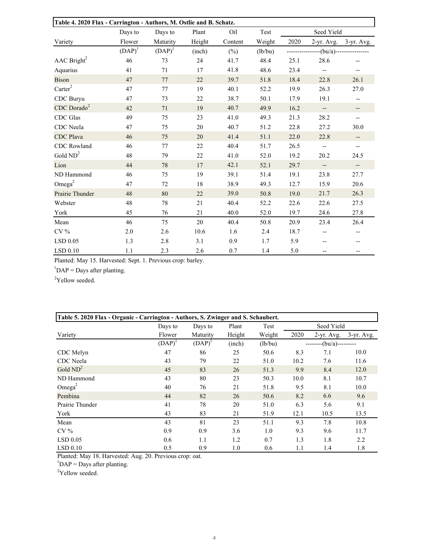|                           | Table 4. 2020 Flax - Carrington - Authors, M. Ostlie and B. Schatz. |           |        |         |         |      |                          |                          |  |  |  |
|---------------------------|---------------------------------------------------------------------|-----------|--------|---------|---------|------|--------------------------|--------------------------|--|--|--|
|                           | Days to                                                             | Days to   | Plant  | Oil     | Test    |      | Seed Yield               |                          |  |  |  |
| Variety                   | Flower                                                              | Maturity  | Height | Content | Weight  | 2020 | $2-yr.$ Avg.             | $3$ -yr. Avg.            |  |  |  |
|                           | $(DAP)^1$                                                           | $(DAP)^1$ | (inch) | $(\%)$  | (lb/bu) |      |                          | --(bu/a)---------------- |  |  |  |
| AAC Bright <sup>2</sup>   | 46                                                                  | 73        | 24     | 41.7    | 48.4    | 25.1 | 28.6                     |                          |  |  |  |
| Aquarius                  | 41                                                                  | 71        | 17     | 41.8    | 48.6    | 23.4 | $\overline{a}$           | --                       |  |  |  |
| <b>Bison</b>              | 47                                                                  | 77        | 22     | 39.7    | 51.8    | 18.4 | 22.8                     | 26.1                     |  |  |  |
| $\text{Carter}^2$         | 47                                                                  | 77        | 19     | 40.1    | 52.2    | 19.9 | 26.3                     | 27.0                     |  |  |  |
| CDC Buryu                 | 47                                                                  | 73        | 22     | 38.7    | 50.1    | 17.9 | 19.1                     | --                       |  |  |  |
| $CDC$ Dorado <sup>2</sup> | 42                                                                  | 71        | 19     | 40.7    | 49.9    | 16.2 | $\overline{\phantom{a}}$ | --                       |  |  |  |
| CDC Glas                  | 49                                                                  | 75        | 23     | 41.0    | 49.3    | 21.3 | 28.2                     | --                       |  |  |  |
| CDC Neela                 | 47                                                                  | 75        | 20     | 40.7    | 51.2    | 22.8 | 27.2                     | 30.0                     |  |  |  |
| <b>CDC</b> Plava          | 46                                                                  | 75        | 20     | 41.4    | 51.1    | 22.0 | 22.8                     | $\overline{\phantom{a}}$ |  |  |  |
| CDC Rowland               | 46                                                                  | 77        | 22     | 40.4    | 51.7    | 26.5 | $\overline{\phantom{a}}$ | $\overline{\phantom{m}}$ |  |  |  |
| Gold $ND2$                | 48                                                                  | 79        | 22     | 41.0    | 52.0    | 19.2 | 20.2                     | 24.5                     |  |  |  |
| Lion                      | 44                                                                  | 78        | 17     | 42.1    | 52.1    | 29.7 | $\overline{\phantom{a}}$ | --                       |  |  |  |
| ND Hammond                | 46                                                                  | 75        | 19     | 39.1    | 51.4    | 19.1 | 23.8                     | 27.7                     |  |  |  |
| Omega <sup>2</sup>        | 47                                                                  | 72        | 18     | 38.9    | 49.3    | 12.7 | 15.9                     | 20.6                     |  |  |  |
| Prairie Thunder           | 48                                                                  | 80        | 22     | 39.0    | 50.8    | 19.0 | 21.7                     | 26.3                     |  |  |  |
| Webster                   | 48                                                                  | 78        | 21     | 40.4    | 52.2    | 22.6 | 22.6                     | 27.5                     |  |  |  |
| York                      | 45                                                                  | 76        | 21     | 40.0    | 52.0    | 19.7 | 24.6                     | 27.8                     |  |  |  |
| Mean                      | 46                                                                  | 75        | 20     | 40.4    | 50.8    | 20.9 | 23.4                     | 26.4                     |  |  |  |
| CV <sub>0</sub>           | 2.0                                                                 | 2.6       | 10.6   | 1.6     | 2.4     | 18.7 | --                       | --                       |  |  |  |
| LSD 0.05                  | 1.3                                                                 | 2.8       | 3.1    | 0.9     | 1.7     | 5.9  | --                       | $- -$                    |  |  |  |
| LSD 0.10                  | 1.1                                                                 | 2.3       | 2.6    | 0.7     | 1.4     | 5.0  | --                       | --                       |  |  |  |

Planted: May 15. Harvested: Sept. 1. Previous crop: barley. lanted: May 15. Harvested: Sept. 1. Previous crop: barley.

 $1\text{DAP} = \text{Days}$  after planting.

 $2^2$ Yellow seeded.

| Table 5. 2020 Flax - Organic - Carrington - Authors, S. Zwinger and S. Schaubert. |           |             |        |         |      |                     |              |  |  |  |  |
|-----------------------------------------------------------------------------------|-----------|-------------|--------|---------|------|---------------------|--------------|--|--|--|--|
|                                                                                   | Days to   | Days to     | Plant  | Test    |      | Seed Yield          |              |  |  |  |  |
| Variety                                                                           | Flower    | Maturity    | Height | Weight  | 2020 | $2-yr.$ Avg.        | $3-yr.$ Avg. |  |  |  |  |
|                                                                                   | $(DAP)^1$ | $(DAP)^{1}$ | (inch) | (lb/bu) |      | $-(bu/a)$ --------- |              |  |  |  |  |
| CDC Melyn                                                                         | 47        | 86          | 25     | 50.6    | 8.3  | 7.1                 | 10.0         |  |  |  |  |
| CDC Neela                                                                         | 43        | 79          | 22     | 51.0    | 10.2 | 7.6                 | 11.6         |  |  |  |  |
| Gold $ND^2$                                                                       | 45        | 83          | 26     | 51.3    | 9.9  | 8.4                 | 12.0         |  |  |  |  |
| ND Hammond                                                                        | 43        | 80          | 23     | 50.3    | 10.0 | 8.1                 | 10.7         |  |  |  |  |
| Omega <sup>2</sup>                                                                | 40        | 76          | 21     | 51.8    | 9.5  | 8.1                 | 10.0         |  |  |  |  |
| Pembina                                                                           | 44        | 82          | 26     | 50.6    | 8.2  | 6.6                 | 9.6          |  |  |  |  |
| Prairie Thunder                                                                   | 41        | 78          | 20     | 51.0    | 6.3  | 5.6                 | 9.1          |  |  |  |  |
| York                                                                              | 43        | 83          | 21     | 51.9    | 12.1 | 10.5                | 13.5         |  |  |  |  |
| Mean                                                                              | 43        | 81          | 23     | 51.1    | 9.3  | 7.8                 | 10.8         |  |  |  |  |
| $CV\%$                                                                            | 0.9       | 0.9         | 3.6    | 1.0     | 9.3  | 9.6                 | 11.7         |  |  |  |  |
| $LSD$ 0.05                                                                        | 0.6       | 1.1         | 1.2    | 0.7     | 1.3  | 1.8                 | 2.2          |  |  |  |  |
| LSD 0.10                                                                          | 0.5       | 0.9         | 1.0    | 0.6     | 1.1  | 1.4                 | 1.8          |  |  |  |  |

Planted: May 18. Harvested: Aug. 20. Previous crop: oat. 1 DAP = Days after planting.

<sup>2</sup>Yellow seeded.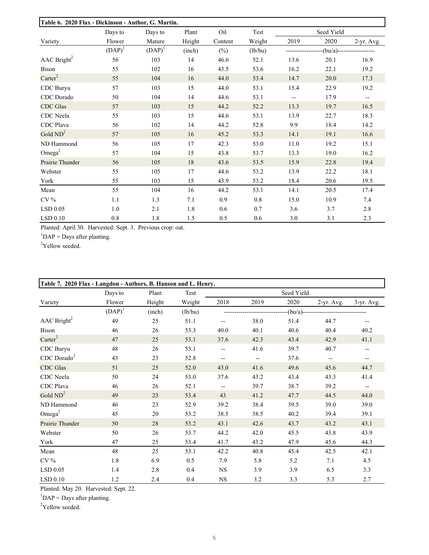| Table 6. 2020 Flax - Dickinson - Author, G. Martin. |           |           |        |         |         |      |            |                          |
|-----------------------------------------------------|-----------|-----------|--------|---------|---------|------|------------|--------------------------|
|                                                     | Days to   | Days to   | Plant  | Oil     | Test    |      | Seed Yield |                          |
| Variety                                             | Flower    | Mature    | Height | Content | Weight  | 2019 | 2020       | 2-yr. Avg.               |
|                                                     | $(DAP)^1$ | $(DAP)^1$ | (inch) | $(\%)$  | (lb/bu) |      |            | (bu/a)------------------ |
| $\rm{AAC}$ Bright <sup>2</sup>                      | 56        | 103       | 14     | 46.6    | 52.1    | 13.6 | 20.1       | 16.9                     |
| Bison                                               | 55        | 102       | 16     | 43.5    | 53.6    | 16.2 | 22.1       | 19.2                     |
| $\text{Carter}^2$                                   | 55        | 104       | 16     | 44.0    | 53.4    | 14.7 | 20.0       | 17.3                     |
| CDC Buryu                                           | 57        | 103       | 15     | 44.0    | 53.1    | 15.4 | 22.9       | 19.2                     |
| CDC Dorado                                          | 50        | 104       | 14     | 44.6    | 53.1    |      | 17.9       | $\overline{\phantom{a}}$ |
| CDC Glas                                            | 57        | 103       | 15     | 44.2    | 52.2    | 13.3 | 19.7       | 16.5                     |
| CDC Neela                                           | 55        | 103       | 15     | 44.6    | 53.1    | 13.9 | 22.7       | 18.3                     |
| CDC Plava                                           | 56        | 102       | 14     | 44.2    | 52.8    | 9.9  | 18.4       | 14.2                     |
| Gold $ND^2$                                         | 57        | 105       | 16     | 45.2    | 53.3    | 14.1 | 19.1       | 16.6                     |
| ND Hammond                                          | 56        | 105       | 17     | 42.3    | 53.0    | 11.0 | 19.2       | 15.1                     |
| Omega <sup>2</sup>                                  | 57        | 104       | 15     | 43.8    | 53.7    | 13.3 | 19.0       | 16.2                     |
| Prairie Thunder                                     | 56        | 105       | 18     | 43.6    | 53.5    | 15.9 | 22.8       | 19.4                     |
| Webster                                             | 55        | 105       | 17     | 44.6    | 53.2    | 13.9 | 22.2       | 18.1                     |
| York                                                | 55        | 103       | 15     | 43.9    | 53.2    | 18.4 | 20.6       | 19.5                     |
| Mean                                                | 55        | 104       | 16     | 44.2    | 53.1    | 14.1 | 20.5       | 17.4                     |
| $CV\%$                                              | 1.1       | 1.3       | 7.1    | 0.9     | 0.8     | 15.0 | 10.9       | 7.4                      |
| LSD 0.05                                            | 1.0       | 2.1       | 1.8    | 0.6     | 0.7     | 3.6  | 3.7        | 2.8                      |
| LSD 0.10                                            | 0.8       | 1.8       | 1.5    | 0.5     | 0.6     | 3.0  | 3.1        | 2.3                      |

Planted: April 30. Harvested: Sept. 3. Previous crop: oat.

 $1\text{DAP} = \text{Days}$  after planting.

 $2$ Yellow seeded.

| Table 7. 2020 Flax - Langdon - Authors, B. Hanson and L. Henry. |           |        |         |             |                          |            |            |                          |
|-----------------------------------------------------------------|-----------|--------|---------|-------------|--------------------------|------------|------------|--------------------------|
|                                                                 | Days to   | Plant  | Test    |             |                          | Seed Yield |            |                          |
| Variety                                                         | Flower    | Height | Weight  | 2018        | 2019                     | 2020       | 2-yr. Avg. | 3-yr. Avg.               |
|                                                                 | $(DAP)^1$ | (inch) | (lb/bu) |             |                          | -(bu/a)--- |            |                          |
| $\rm{AAC}$ Bright <sup>2</sup>                                  | 49        | 25     | 51.1    |             | 38.0                     | 51.4       | 44.7       |                          |
| <b>Bison</b>                                                    | 46        | 26     | 53.3    | 40.0        | 40.1                     | 40.6       | 40.4       | 40.2                     |
| $\text{Carter}^2$                                               | 47        | 25     | 53.1    | 37.6        | 42.3                     | 43.4       | 42.9       | 41.1                     |
| CDC Buryu                                                       | 48        | 26     | 53.1    | $-$         | 41.6                     | 39.7       | 40.7       |                          |
| $CDC$ Dorado <sup>2</sup>                                       | 43        | 23     | 52.8    | $-\!$ $\!-$ | $\overline{\phantom{m}}$ | 37.6       |            |                          |
| <b>CDC</b> Glas                                                 | 51        | 25     | 52.0    | 43.0        | 41.6                     | 49.6       | 45.6       | 44.7                     |
| CDC Neela                                                       | 50        | 24     | 53.0    | 37.6        | 43.2                     | 43.4       | 43.3       | 41.4                     |
| CDC Plava                                                       | 46        | 26     | 52.1    | $ \!-$      | 39.7                     | 38.7       | 39.2       | $\overline{\phantom{a}}$ |
| Gold $ND^2$                                                     | 49        | 23     | 53.4    | 43          | 41.2                     | 47.7       | 44.5       | 44.0                     |
| ND Hammond                                                      | 46        | 23     | 52.9    | 39.2        | 38.4                     | 39.5       | 39.0       | 39.0                     |
| Omega <sup>2</sup>                                              | 45        | 20     | 53.2    | 38.5        | 38.5                     | 40.2       | 39.4       | 39.1                     |
| Prairie Thunder                                                 | 50        | 28     | 53.2    | 43.1        | 42.6                     | 43.7       | 43.2       | 43.1                     |
| Webster                                                         | 50        | 26     | 53.7    | 44.2        | 42.0                     | 45.5       | 43.8       | 43.9                     |
| York                                                            | 47        | 25     | 53.4    | 41.7        | 43.2                     | 47.9       | 45.6       | 44.3                     |
| Mean                                                            | 48        | 25     | 53.1    | 42.2        | 40.8                     | 45.4       | 42.5       | 42.1                     |
| $CV\%$                                                          | 1.8       | 6.9    | 0.5     | 7.9         | 5.8                      | 5.2        | 7.1        | 4.5                      |
| LSD 0.05                                                        | 1.4       | 2.8    | 0.4     | <b>NS</b>   | 3.9                      | 3.9        | 6.5        | 3.3                      |
| $LSD$ 0.10                                                      | 1.2       | 2.4    | 0.4     | NS          | 3.2                      | 3.3        | 5.3        | 2.7                      |

Planted: May 20. Harvested: Sept. 22.

 ${}^{1}$ DAP = Days after planting.

<sup>2</sup>Yellow seeded.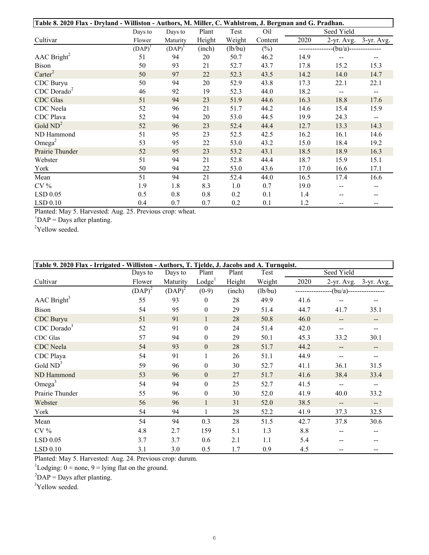|                                | Table 8. 2020 Flax - Dryland - Williston - Authors, M. Miller, C. Wahlstrom, J. Bergman and G. Pradhan. |           |        |         |         |      |                |                |  |  |
|--------------------------------|---------------------------------------------------------------------------------------------------------|-----------|--------|---------|---------|------|----------------|----------------|--|--|
|                                | Days to                                                                                                 | Days to   | Plant  | Test    | Oil     |      | Seed Yield     |                |  |  |
| Cultivar                       | Flower                                                                                                  | Maturity  | Height | Weight  | Content | 2020 | 2-yr. Avg.     | $3$ -yr. Avg.  |  |  |
|                                | $(DAP)^1$                                                                                               | $(DAP)^1$ | (inch) | (lb/bu) | $(\%)$  |      | $-(bu/a)$ ---- |                |  |  |
| $\rm{AAC}$ Bright <sup>2</sup> | 51                                                                                                      | 94        | 20     | 50.7    | 46.2    | 14.9 |                | --             |  |  |
| <b>Bison</b>                   | 50                                                                                                      | 93        | 21     | 52.7    | 43.7    | 17.8 | 15.2           | 15.3           |  |  |
| $\text{Carter}^2$              | 50                                                                                                      | 97        | $22\,$ | 52.3    | 43.5    | 14.2 | 14.0           | 14.7           |  |  |
| CDC Buryu                      | 50                                                                                                      | 94        | 20     | 52.9    | 43.8    | 17.3 | 22.1           | 22.1           |  |  |
| $CDC$ Dorado <sup>2</sup>      | 46                                                                                                      | 92        | 19     | 52.3    | 44.0    | 18.2 | --             | $\overline{a}$ |  |  |
| <b>CDC</b> Glas                | 51                                                                                                      | 94        | 23     | 51.9    | 44.6    | 16.3 | 18.8           | 17.6           |  |  |
| CDC Neela                      | 52                                                                                                      | 96        | 21     | 51.7    | 44.2    | 14.6 | 15.4           | 15.9           |  |  |
| CDC Plava                      | 52                                                                                                      | 94        | 20     | 53.0    | 44.5    | 19.9 | 24.3           | --             |  |  |
| Gold $ND^2$                    | 52                                                                                                      | 96        | 23     | 52.4    | 44.4    | 12.7 | 13.3           | 14.3           |  |  |
| ND Hammond                     | 51                                                                                                      | 95        | 23     | 52.5    | 42.5    | 16.2 | 16.1           | 14.6           |  |  |
| Omega <sup>2</sup>             | 53                                                                                                      | 95        | 22     | 53.0    | 43.2    | 15.0 | 18.4           | 19.2           |  |  |
| Prairie Thunder                | 52                                                                                                      | 95        | 23     | 53.2    | 43.1    | 18.5 | 18.9           | 16.3           |  |  |
| Webster                        | 51                                                                                                      | 94        | 21     | 52.8    | 44.4    | 18.7 | 15.9           | 15.1           |  |  |
| York                           | 50                                                                                                      | 94        | 22     | 53.0    | 43.6    | 17.0 | 16.6           | 17.1           |  |  |
| Mean                           | 51                                                                                                      | 94        | 21     | 52.4    | 44.0    | 16.5 | 17.4           | 16.6           |  |  |
| $CV\%$                         | 1.9                                                                                                     | 1.8       | 8.3    | 1.0     | 0.7     | 19.0 |                | --             |  |  |
| $LSD$ 0.05                     | 0.5                                                                                                     | 0.8       | 0.8    | 0.2     | 0.1     | 1.4  |                |                |  |  |
| LSD 0.10                       | 0.4                                                                                                     | 0.7       | 0.7    | 0.2     | 0.1     | 1.2  | --             |                |  |  |

Planted: May 5. Harvested: Aug. 25. Previous crop: wheat.<br><sup>1</sup>DAP = Days after planting.<br><sup>2</sup>Yellow seeded. Planted: May 5. Harvested: Aug. 25. Previous crop: wheat.

 $\text{DAP} = \text{Days after planning.}$ 

 $\text{P}\text{P}$  and  $\text{P}$  seeded.

|                           | Table 9. 2020 Flax - Irrigated - Williston - Authors, T. Tjelde, J. Jacobs and A. Turnquist. |           |                    |        |         |      |                          |                          |  |  |
|---------------------------|----------------------------------------------------------------------------------------------|-----------|--------------------|--------|---------|------|--------------------------|--------------------------|--|--|
|                           | Days to                                                                                      | Days to   | Plant              | Plant  | Test    |      | Seed Yield               |                          |  |  |
| Cultivar                  | Flower                                                                                       | Maturity  | Lodge <sup>1</sup> | Height | Weight  | 2020 |                          | 2-yr. Avg. 3-yr. Avg.    |  |  |
|                           | $(DAP)^2$                                                                                    | $(DAP)^2$ | $(0-9)$            | (inch) | (lb/bu) |      | $-(bu/a)$ --             |                          |  |  |
| $AAC$ Bright <sup>3</sup> | 55                                                                                           | 93        | $\boldsymbol{0}$   | 28     | 49.9    | 41.6 |                          |                          |  |  |
| <b>Bison</b>              | 54                                                                                           | 95        | $\overline{0}$     | 29     | 51.4    | 44.7 | 41.7                     | 35.1                     |  |  |
| CDC Buryu                 | 51                                                                                           | 91        | $\mathbf{1}$       | 28     | 50.8    | 46.0 |                          | --                       |  |  |
| $CDC$ Dorado <sup>3</sup> | 52                                                                                           | 91        | $\boldsymbol{0}$   | 24     | 51.4    | 42.0 |                          |                          |  |  |
| CDC Glas                  | 57                                                                                           | 94        | $\overline{0}$     | 29     | 50.1    | 45.3 | 33.2                     | 30.1                     |  |  |
| <b>CDC</b> Neela          | 54                                                                                           | 93        | $\mathbf{0}$       | 28     | 51.7    | 44.2 | --                       | --                       |  |  |
| CDC Playa                 | 54                                                                                           | 91        | 1                  | 26     | 51.1    | 44.9 | $\sim$                   | --                       |  |  |
| Gold $ND^3$               | 59                                                                                           | 96        | $\theta$           | 30     | 52.7    | 41.1 | 36.1                     | 31.5                     |  |  |
| ND Hammond                | 53                                                                                           | 96        | $\overline{0}$     | 27     | 51.7    | 41.6 | 38.4                     | 33.4                     |  |  |
| Omega <sup>3</sup>        | 54                                                                                           | 94        | $\boldsymbol{0}$   | 25     | 52.7    | 41.5 | $\overline{\phantom{a}}$ | $\overline{a}$           |  |  |
| Prairie Thunder           | 55                                                                                           | 96        | $\boldsymbol{0}$   | 30     | 52.0    | 41.9 | 40.0                     | 33.2                     |  |  |
| Webster                   | 56                                                                                           | 96        | $\mathbf{1}$       | 31     | 52.0    | 38.5 | $\overline{\phantom{a}}$ | $\overline{\phantom{a}}$ |  |  |
| York                      | 54                                                                                           | 94        | 1                  | 28     | 52.2    | 41.9 | 37.3                     | 32.5                     |  |  |
| Mean                      | 54                                                                                           | 94        | 0.3                | 28     | 51.5    | 42.7 | 37.8                     | 30.6                     |  |  |
| $CV\%$                    | 4.8                                                                                          | 2.7       | 159                | 5.1    | 1.3     | 8.8  |                          | --                       |  |  |
| LSD 0.05                  | 3.7                                                                                          | 3.7       | 0.6                | 2.1    | 1.1     | 5.4  |                          |                          |  |  |
| LSD 0.10                  | 3.1                                                                                          | 3.0       | 0.5                | 1.7    | 0.9     | 4.5  |                          |                          |  |  |

LSD 0.10  $\qquad 3.1 \qquad 3.0$ <br>Planted: May 5. Harvested: Aug. 24. Previous crop: durum.

<sup>1</sup>Lodging: 0 = none, 9 = lying flat on the ground.<br><sup>2</sup>DAP = Days after planting.

<sup>3</sup>Yellow seeded.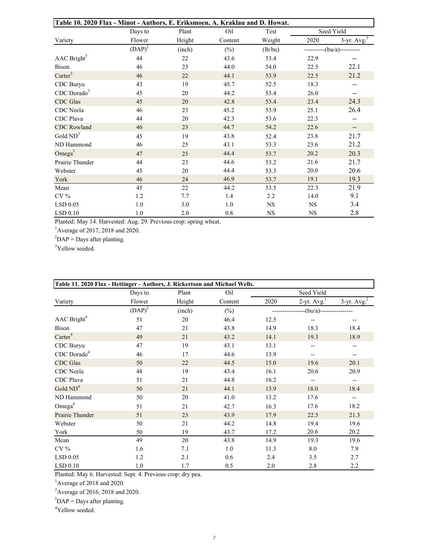| Table 10. 2020 Flax - Minot - Authors, E. Eriksmoen, A. Kraklau and D. Howat. |           |        |         |           |           |                   |
|-------------------------------------------------------------------------------|-----------|--------|---------|-----------|-----------|-------------------|
|                                                                               | Days to   | Plant  | Oil     | Test      |           | Seed Yield        |
| Variety                                                                       | Flower    | Height | Content | Weight    | 2020      | $3$ -yr. Avg. $1$ |
|                                                                               | $(DAP)^2$ | (inch) | $(\%)$  | (lb/bu)   |           | $------(bu/a)---$ |
| AAC Bright <sup>3</sup>                                                       | 44        | 22     | 43.6    | 53.4      | 22.9      |                   |
| Bison                                                                         | 46        | 23     | 44.0    | 54.0      | 22.5      | 22.1              |
| $\text{Carter}^3$                                                             | 46        | 22     | 44.1    | 53.9      | 22.5      | 21.2              |
| CDC Buryu                                                                     | 43        | 19     | 45.7    | 52.5      | 18.3      | --                |
| $CDC$ Dorado <sup>3</sup>                                                     | 45        | 20     | 44.2    | 53.4      | 26.0      | --                |
| <b>CDC</b> Glas                                                               | 45        | 20     | 42.8    | 53.4      | 23.4      | 24.3              |
| CDC Neela                                                                     | 46        | 23     | 45.2    | 53.9      | 25.1      | 26.4              |
| CDC Plava                                                                     | 44        | 20     | 42.3    | 53.6      | 22.3      | --                |
| <b>CDC</b> Rowland                                                            | 46        | 23     | 44.7    | 54.2      | 22.6      | --                |
| Gold $ND3$                                                                    | 45        | 19     | 43.8    | 52.4      | 23.8      | 21.7              |
| ND Hammond                                                                    | 46        | 25     | 43.1    | 53.3      | 23.6      | 21.2              |
| Omega <sup>3</sup>                                                            | 47        | 25     | 44.4    | 53.7      | 20.2      | 20.3              |
| Prairie Thunder                                                               | 44        | 23     | 44.6    | 53.2      | 21.6      | 21.7              |
| Webster                                                                       | 45        | 20     | 44.4    | 53.3      | 20.0      | 20.6              |
| York                                                                          | 46        | 24     | 46.9    | 53.7      | 19.1      | 19.3              |
| Mean                                                                          | 45        | $22\,$ | 44.2    | 53.5      | 22.3      | 21.9              |
| $CV\%$                                                                        | 1.2       | 7.7    | 1.4     | 2.2       | 14.0      | 9.1               |
| $LSD$ 0.05                                                                    | 1.0       | 3.0    | 1.0     | NS        | <b>NS</b> | 3.4               |
| LSD 0.10                                                                      | 1.0       | 2.0    | 0.8     | <b>NS</b> | <b>NS</b> | 2.8               |

Planted: May 14. Harvested: Aug. 29. Previous crop: spring wheat.<br><sup>1</sup>Average of 2017, 2018 and 2020.<br><sup>2</sup>DAP = Days after planting. Planted: May 14. Harvested: Aug. 29. Previous crop: spring wheat.

Average of  $2017$ ,  $2018$  and  $2020$ .

 $P =$  Days after planting.

<sup>3</sup>Yellow seeded.

| Table 11. 2020 Flax - Hettinger - Authors, J. Rickertson and Michael Wells. |           |        |         |      |                            |                   |
|-----------------------------------------------------------------------------|-----------|--------|---------|------|----------------------------|-------------------|
|                                                                             | Days to   | Plant  | Oil     |      | Seed Yield                 |                   |
| Variety                                                                     | Flower    | Height | Content | 2020 | $2$ -yr. Avg. <sup>1</sup> | $3$ -yr. Avg. $2$ |
|                                                                             | $(DAP)^3$ | (inch) | $(\%)$  |      | $-(bu/a)$ --               |                   |
| AAC Bright <sup>4</sup>                                                     | 51        | 20     | 46.4    | 12.5 | --                         | --                |
| <b>Bison</b>                                                                | 47        | 21     | 43.8    | 14.9 | 18.3                       | 18.4              |
| $\text{Carter}^4$                                                           | 49        | 21     | 43.2    | 14.1 | 19.3                       | 18.9              |
| CDC Buryu                                                                   | 47        | 19     | 43.1    | 13.1 | --                         | $-$               |
| $CDC$ Dorado $4$                                                            | 46        | 17     | 44.6    | 13.9 | --                         | --                |
| <b>CDC</b> Glas                                                             | 50        | 22     | 44.5    | 15.0 | 19.6                       | 20.1              |
| CDC Neela                                                                   | 48        | 19     | 43.4    | 16.1 | 20.6                       | 20.9              |
| CDC Plava                                                                   | 51        | 21     | 44.8    | 16.2 | $-$                        | $-$               |
| Gold $ND^4$                                                                 | 50        | 21     | 44.1    | 13.9 | 18.0                       | 18.4              |
| ND Hammond                                                                  | 50        | 20     | 41.0    | 13.2 | 17.6                       | --                |
| Omega <sup>4</sup>                                                          | 51        | 21     | 42.7    | 16.3 | 17.6                       | 18.2              |
| Prairie Thunder                                                             | 51        | 23     | 43.9    | 17.9 | 22.5                       | 21.3              |
| Webster                                                                     | 50        | 21     | 44.2    | 14.8 | 19.4                       | 19.6              |
| York                                                                        | 50        | 19     | 43.7    | 17.2 | 20.6                       | 20.2              |
| Mean                                                                        | 49        | 20     | 43.8    | 14.9 | 19.3                       | 19.6              |
| $CV\%$                                                                      | 1.6       | 7.1    | 1.0     | 11.3 | 8.0                        | 7.9               |
| LSD 0.05                                                                    | 1.2       | 2.1    | 0.6     | 2.4  | 3.5                        | 2.7               |
| $LSD$ 0.10                                                                  | 1.0       | 1.7    | 0.5     | 2.0  | 2.8                        | 2.2               |

Planted: May 6. Harvested: Sept. 4. Previous crop: dry pea.

 $1$ Average of 2018 and 2020.

<sup>2</sup> Average of 2016, 2018 and 2020.

 ${}^{3}$ DAP = Days after planting.

4 Yellow seeded.